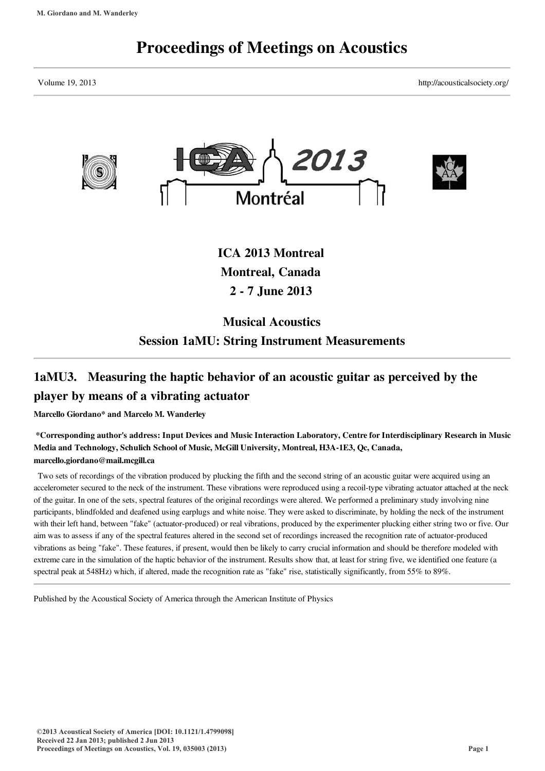## Proceedings of Meetings on Acoustics

Volume 19, 2013 http://acousticalsociety.org/



# Session 1aMU: String Instrument Measurements

### 1aMU3. Measuring the haptic behavior of an acoustic guitar as perceived by the player by means of a vibrating actuator

Marcello Giordano\* and Marcelo M. Wanderley

#### \*Corresponding author's address: Input Devices and Music Interaction Laboratory, Centre for Interdisciplinary Research in Music Media and Technology, Schulich School of Music, McGill University, Montreal, H3A-1E3, Qc, Canada, marcello.giordano@mail.mcgill.ca

Two sets of recordings of the vibration produced by plucking the fifth and the second string of an acoustic guitar were acquired using an accelerometer secured to the neck of the instrument. These vibrations were reproduced using a recoil-type vibrating actuator attached at the neck of the guitar. In one of the sets, spectral features of the original recordings were altered. We performed a preliminary study involving nine participants, blindfolded and deafened using earplugs and white noise. They were asked to discriminate, by holding the neck of the instrument with their left hand, between "fake" (actuator-produced) or real vibrations, produced by the experimenter plucking either string two or five. Our aim was to assess if any of the spectral features altered in the second set of recordings increased the recognition rate of actuator-produced vibrations as being "fake". These features, if present, would then be likely to carry crucial information and should be therefore modeled with extreme care in the simulation of the haptic behavior of the instrument. Results show that, at least for string five, we identified one feature (a spectral peak at 548Hz) which, if altered, made the recognition rate as "fake" rise, statistically significantly, from 55% to 89%.

Published by the Acoustical Society of America through the American Institute of Physics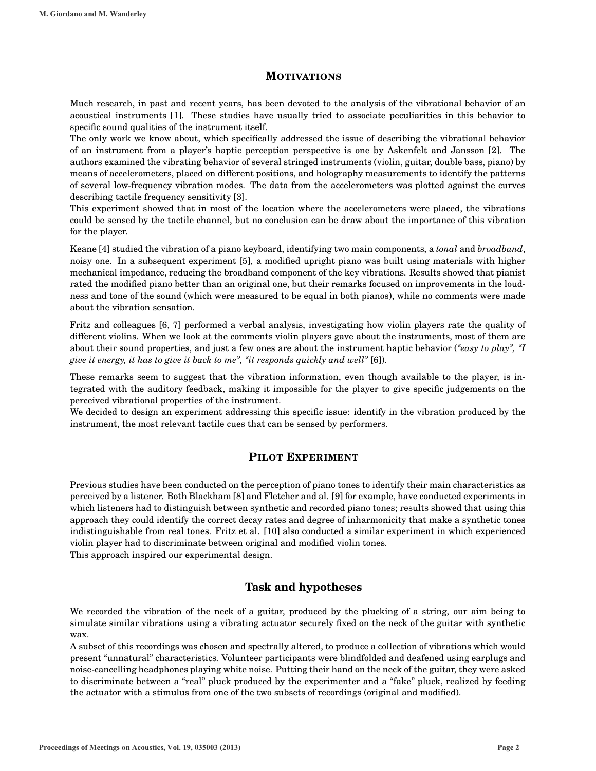#### **MOTIVATIONS**

Much research, in past and recent years, has been devoted to the analysis of the vibrational behavior of an acoustical instruments [1]. These studies have usually tried to associate peculiarities in this behavior to specific sound qualities of the instrument itself.

The only work we know about, which specifically addressed the issue of describing the vibrational behavior of an instrument from a player's haptic perception perspective is one by Askenfelt and Jansson [2]. The authors examined the vibrating behavior of several stringed instruments (violin, guitar, double bass, piano) by means of accelerometers, placed on different positions, and holography measurements to identify the patterns of several low-frequency vibration modes. The data from the accelerometers was plotted against the curves describing tactile frequency sensitivity [3].

This experiment showed that in most of the location where the accelerometers were placed, the vibrations could be sensed by the tactile channel, but no conclusion can be draw about the importance of this vibration for the player.

Keane [4] studied the vibration of a piano keyboard, identifying two main components, a *tonal* and *broadband*, noisy one. In a subsequent experiment [5], a modified upright piano was built using materials with higher mechanical impedance, reducing the broadband component of the key vibrations. Results showed that pianist rated the modified piano better than an original one, but their remarks focused on improvements in the loudness and tone of the sound (which were measured to be equal in both pianos), while no comments were made about the vibration sensation.

Fritz and colleagues [6, 7] performed a verbal analysis, investigating how violin players rate the quality of different violins. When we look at the comments violin players gave about the instruments, most of them are about their sound properties, and just a few ones are about the instrument haptic behavior (*"easy to play", "I give it energy, it has to give it back to me", "it responds quickly and well"* [6]).

These remarks seem to suggest that the vibration information, even though available to the player, is integrated with the auditory feedback, making it impossible for the player to give specific judgements on the perceived vibrational properties of the instrument.

We decided to design an experiment addressing this specific issue: identify in the vibration produced by the instrument, the most relevant tactile cues that can be sensed by performers.

#### **PILOT EXPERIMENT**

Previous studies have been conducted on the perception of piano tones to identify their main characteristics as perceived by a listener. Both Blackham [8] and Fletcher and al. [9] for example, have conducted experiments in which listeners had to distinguish between synthetic and recorded piano tones; results showed that using this approach they could identify the correct decay rates and degree of inharmonicity that make a synthetic tones indistinguishable from real tones. Fritz et al. [10] also conducted a similar experiment in which experienced violin player had to discriminate between original and modified violin tones. This approach inspired our experimental design.

### **Task and hypotheses**

We recorded the vibration of the neck of a guitar, produced by the plucking of a string, our aim being to simulate similar vibrations using a vibrating actuator securely fixed on the neck of the guitar with synthetic wax.

A subset of this recordings was chosen and spectrally altered, to produce a collection of vibrations which would present "unnatural" characteristics. Volunteer participants were blindfolded and deafened using earplugs and noise-cancelling headphones playing white noise. Putting their hand on the neck of the guitar, they were asked to discriminate between a "real" pluck produced by the experimenter and a "fake" pluck, realized by feeding the actuator with a stimulus from one of the two subsets of recordings (original and modified).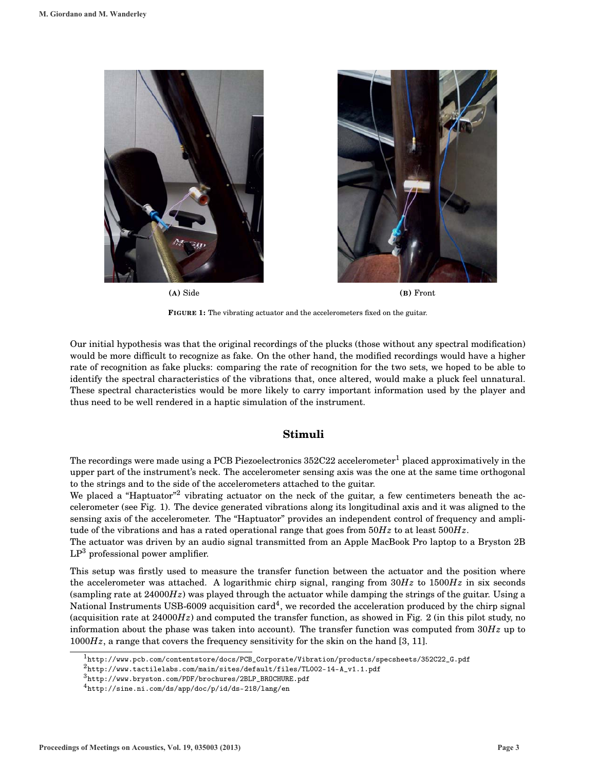



**(A)** Side **(B)** Front

**FIGURE 1:** The vibrating actuator and the accelerometers fixed on the guitar.

Our initial hypothesis was that the original recordings of the plucks (those without any spectral modification) would be more difficult to recognize as fake. On the other hand, the modified recordings would have a higher rate of recognition as fake plucks: comparing the rate of recognition for the two sets, we hoped to be able to identify the spectral characteristics of the vibrations that, once altered, would make a pluck feel unnatural. These spectral characteristics would be more likely to carry important information used by the player and thus need to be well rendered in a haptic simulation of the instrument.

#### **Stimuli**

The recordings were made using a PCB Piezoelectronics  $352C22$  accelerometer<sup>1</sup> placed approximatively in the upper part of the instrument's neck. The accelerometer sensing axis was the one at the same time orthogonal to the strings and to the side of the accelerometers attached to the guitar.

We placed a "Haptuator"<sup>2</sup> vibrating actuator on the neck of the guitar, a few centimeters beneath the accelerometer (see Fig. 1). The device generated vibrations along its longitudinal axis and it was aligned to the sensing axis of the accelerometer. The "Haptuator" provides an independent control of frequency and amplitude of the vibrations and has a rated operational range that goes from 50*Hz* to at least 500*Hz*.

The actuator was driven by an audio signal transmitted from an Apple MacBook Pro laptop to a Bryston 2B  $LP<sup>3</sup>$  professional power amplifier.

This setup was firstly used to measure the transfer function between the actuator and the position where the accelerometer was attached. A logarithmic chirp signal, ranging from 30*Hz* to 1500*Hz* in six seconds (sampling rate at  $24000Hz$ ) was played through the actuator while damping the strings of the guitar. Using a National Instruments USB-6009 acquisition card<sup>4</sup>, we recorded the acceleration produced by the chirp signal (acquisition rate at  $24000Hz$ ) and computed the transfer function, as showed in Fig. 2 (in this pilot study, no information about the phase was taken into account). The transfer function was computed from 30*Hz* up to 1000*Hz*, a range that covers the frequency sensitivity for the skin on the hand [3, 11].

<sup>1</sup>http://www.pcb.com/contentstore/docs/PCB\_Corporate/Vibration/products/specsheets/352C22\_G.pdf

 $^{2}$ http://www.tactilelabs.com/main/sites/default/files/TL002-14-A\_v1.1.pdf

<sup>3</sup>http://www.bryston.com/PDF/brochures/2BLP\_BROCHURE.pdf

<sup>4</sup>http://sine.ni.com/ds/app/doc/p/id/ds-218/lang/en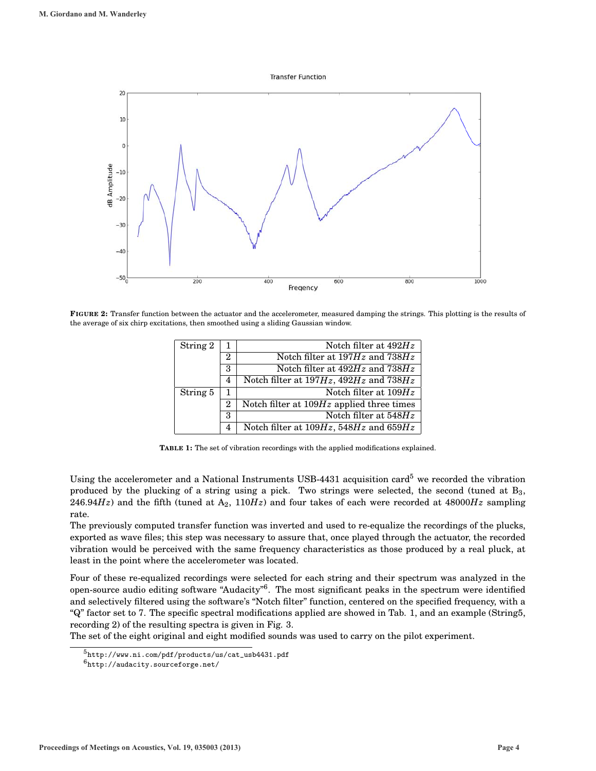#### **Transfer Function**



**FIGURE 2:** Transfer function between the actuator and the accelerometer, measured damping the strings. This plotting is the results of the average of six chirp excitations, then smoothed using a sliding Gaussian window.

| String 2 |   | Notch filter at 492Hz                         |
|----------|---|-----------------------------------------------|
|          | 2 | Notch filter at $197Hz$ and $738Hz$           |
|          | 3 | Notch filter at $492Hz$ and $738Hz$           |
|          | 4 | Notch filter at $197Hz$ , $492Hz$ and $738Hz$ |
| String 5 | 1 | Notch filter at $109Hz$                       |
|          | 2 | Notch filter at $109Hz$ applied three times   |
|          | 3 | Notch filter at $548Hz$                       |
|          | 4 | Notch filter at $109Hz$ , 548Hz and 659Hz     |

**TABLE 1:** The set of vibration recordings with the applied modifications explained.

Using the accelerometer and a National Instruments USB-4431 acquisition card<sup>5</sup> we recorded the vibration produced by the plucking of a string using a pick. Two strings were selected, the second (tuned at B<sub>3</sub>, 246.94*Hz*) and the fifth (tuned at  $A_2$ , 110*Hz*) and four takes of each were recorded at 48000*Hz* sampling rate.

The previously computed transfer function was inverted and used to re-equalize the recordings of the plucks, exported as wave files; this step was necessary to assure that, once played through the actuator, the recorded vibration would be perceived with the same frequency characteristics as those produced by a real pluck, at least in the point where the accelerometer was located.

Four of these re-equalized recordings were selected for each string and their spectrum was analyzed in the open-source audio editing software "Audacity"6. The most significant peaks in the spectrum were identified and selectively filtered using the software's "Notch filter" function, centered on the specified frequency, with a "Q" factor set to 7. The specific spectral modifications applied are showed in Tab. 1, and an example (String5, recording 2) of the resulting spectra is given in Fig. 3.

The set of the eight original and eight modified sounds was used to carry on the pilot experiment.

 $5$ http://www.ni.com/pdf/products/us/cat\_usb4431.pdf

 $6$ http://audacity.sourceforge.net/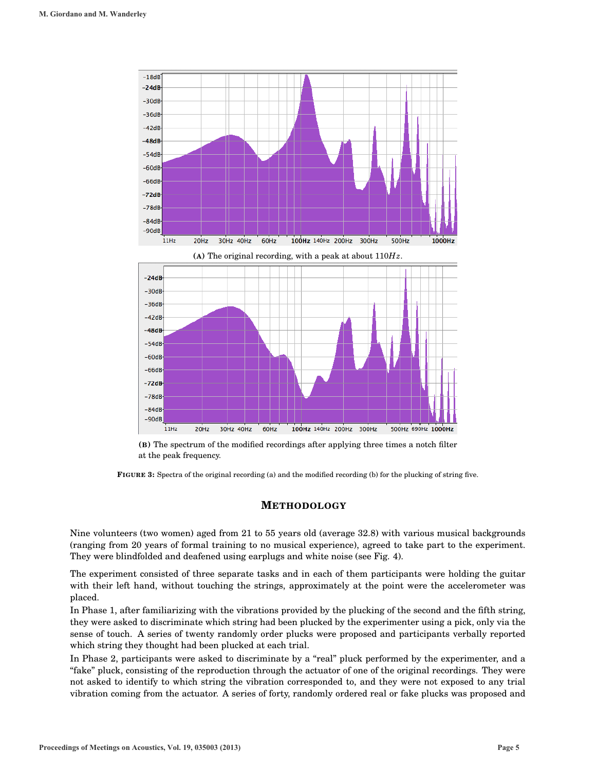

**(B)** The spectrum of the modified recordings after applying three times a notch filter at the peak frequency.

**FIGURE 3:** Spectra of the original recording (a) and the modified recording (b) for the plucking of string five.

#### **METHODOLOGY**

Nine volunteers (two women) aged from 21 to 55 years old (average 32.8) with various musical backgrounds (ranging from 20 years of formal training to no musical experience), agreed to take part to the experiment. They were blindfolded and deafened using earplugs and white noise (see Fig. 4).

The experiment consisted of three separate tasks and in each of them participants were holding the guitar with their left hand, without touching the strings, approximately at the point were the accelerometer was placed.

In Phase 1, after familiarizing with the vibrations provided by the plucking of the second and the fifth string, they were asked to discriminate which string had been plucked by the experimenter using a pick, only via the sense of touch. A series of twenty randomly order plucks were proposed and participants verbally reported which string they thought had been plucked at each trial.

In Phase 2, participants were asked to discriminate by a "real" pluck performed by the experimenter, and a "fake" pluck, consisting of the reproduction through the actuator of one of the original recordings. They were not asked to identify to which string the vibration corresponded to, and they were not exposed to any trial vibration coming from the actuator. A series of forty, randomly ordered real or fake plucks was proposed and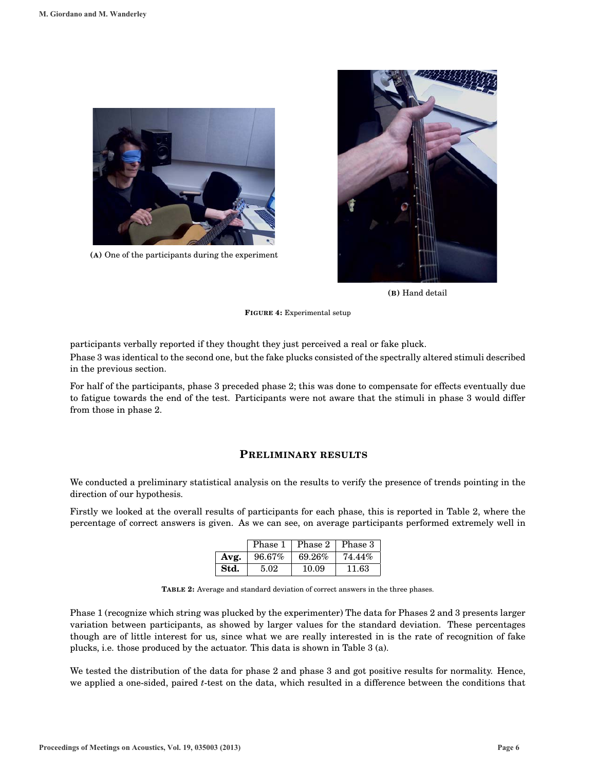

**(A)** One of the participants during the experiment



**(B)** Hand detail

**FIGURE 4:** Experimental setup

participants verbally reported if they thought they just perceived a real or fake pluck.

Phase 3 was identical to the second one, but the fake plucks consisted of the spectrally altered stimuli described in the previous section.

For half of the participants, phase 3 preceded phase 2; this was done to compensate for effects eventually due to fatigue towards the end of the test. Participants were not aware that the stimuli in phase 3 would differ from those in phase 2.

#### **PRELIMINARY RESULTS**

We conducted a preliminary statistical analysis on the results to verify the presence of trends pointing in the direction of our hypothesis.

Firstly we looked at the overall results of participants for each phase, this is reported in Table 2, where the percentage of correct answers is given. As we can see, on average participants performed extremely well in

|      | Phase 1   | Phase 2 | Phase 3 |
|------|-----------|---------|---------|
| Avg. | $96.67\%$ | 69.26%  | 74.44%  |
| Std. | 5.02      | 10.09   | 11.63   |

**TABLE 2:** Average and standard deviation of correct answers in the three phases.

Phase 1 (recognize which string was plucked by the experimenter) The data for Phases 2 and 3 presents larger variation between participants, as showed by larger values for the standard deviation. These percentages though are of little interest for us, since what we are really interested in is the rate of recognition of fake plucks, i.e. those produced by the actuator. This data is shown in Table 3 (a).

We tested the distribution of the data for phase 2 and phase 3 and got positive results for normality. Hence, we applied a one-sided, paired *t*-test on the data, which resulted in a difference between the conditions that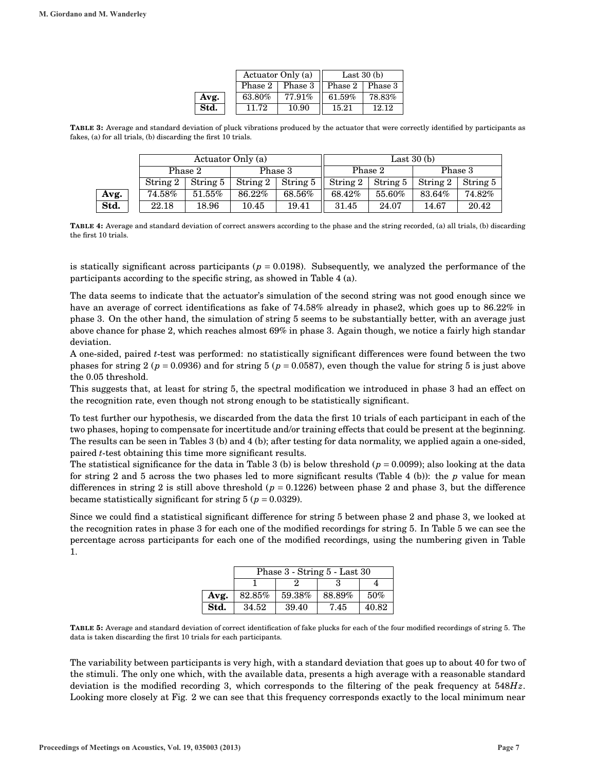|      | Actuator Only (a) |         | Last $30(b)$           |        |  |
|------|-------------------|---------|------------------------|--------|--|
|      | Phase 2           | Phase 3 | Phase $2 \mid$ Phase 3 |        |  |
| Avg. | 63.80%            | 77.91%  | 61.59%                 | 78.83% |  |
| Std. | 11.72             | 10.90   | 15.21                  | 12.12  |  |

**TABLE 3:** Average and standard deviation of pluck vibrations produced by the actuator that were correctly identified by participants as fakes, (a) for all trials, (b) discarding the first 10 trials.

|      |           | Actuator Only (a) |          |           |          | Last $30(b)$ |          |          |  |
|------|-----------|-------------------|----------|-----------|----------|--------------|----------|----------|--|
|      |           | Phase 2           |          | Phase 3   |          | Phase 2      |          | Phase 3  |  |
|      | String 2  | String 5          | String 2 | String 5  | String 2 | String 5     | String 2 | String 5 |  |
| Avg. | $74.58\%$ | $51.55\%$         | 86.22%   | $68.56\%$ | 68.42%   | 55.60%       | 83.64%   | 74.82%   |  |
| Std. | 22.18     | 18.96             | 10.45    | 19.41     | 31.45    | 24.07        | 14.67    | 20.42    |  |

**TABLE 4:** Average and standard deviation of correct answers according to the phase and the string recorded, (a) all trials, (b) discarding the first 10 trials.

is statically significant across participants ( $p = 0.0198$ ). Subsequently, we analyzed the performance of the participants according to the specific string, as showed in Table 4 (a).

The data seems to indicate that the actuator's simulation of the second string was not good enough since we have an average of correct identifications as fake of 74.58% already in phase2, which goes up to 86.22% in phase 3. On the other hand, the simulation of string 5 seems to be substantially better, with an average just above chance for phase 2, which reaches almost 69% in phase 3. Again though, we notice a fairly high standar deviation.

A one-sided, paired *t*-test was performed: no statistically significant differences were found between the two phases for string 2 ( $p = 0.0936$ ) and for string 5 ( $p = 0.0587$ ), even though the value for string 5 is just above the 0.05 threshold.

This suggests that, at least for string 5, the spectral modification we introduced in phase 3 had an effect on the recognition rate, even though not strong enough to be statistically significant.

To test further our hypothesis, we discarded from the data the first 10 trials of each participant in each of the two phases, hoping to compensate for incertitude and/or training effects that could be present at the beginning. The results can be seen in Tables 3 (b) and 4 (b); after testing for data normality, we applied again a one-sided, paired *t*-test obtaining this time more significant results.

The statistical significance for the data in Table 3 (b) is below threshold  $(p = 0.0099)$ ; also looking at the data for string 2 and 5 across the two phases led to more significant results (Table 4 (b)): the *p* value for mean differences in string 2 is still above threshold (*p* = 0.1226) between phase 2 and phase 3, but the difference became statistically significant for string  $5 (p = 0.0329)$ .

Since we could find a statistical significant difference for string 5 between phase 2 and phase 3, we looked at the recognition rates in phase 3 for each one of the modified recordings for string 5. In Table 5 we can see the percentage across participants for each one of the modified recordings, using the numbering given in Table 1.

|      | Phase 3 - String 5 - Last 30 |        |        |       |  |  |
|------|------------------------------|--------|--------|-------|--|--|
|      |                              |        |        |       |  |  |
| Avg. | 82.85%                       | 59.38% | 88.89% | 50%   |  |  |
| Std. | 34.52                        | 39.40  | 7.45   | 40.82 |  |  |

**TABLE 5:** Average and standard deviation of correct identification of fake plucks for each of the four modified recordings of string 5. The data is taken discarding the first 10 trials for each participants.

The variability between participants is very high, with a standard deviation that goes up to about 40 for two of the stimuli. The only one which, with the available data, presents a high average with a reasonable standard deviation is the modified recording 3, which corresponds to the filtering of the peak frequency at 548*Hz*. Looking more closely at Fig. 2 we can see that this frequency corresponds exactly to the local minimum near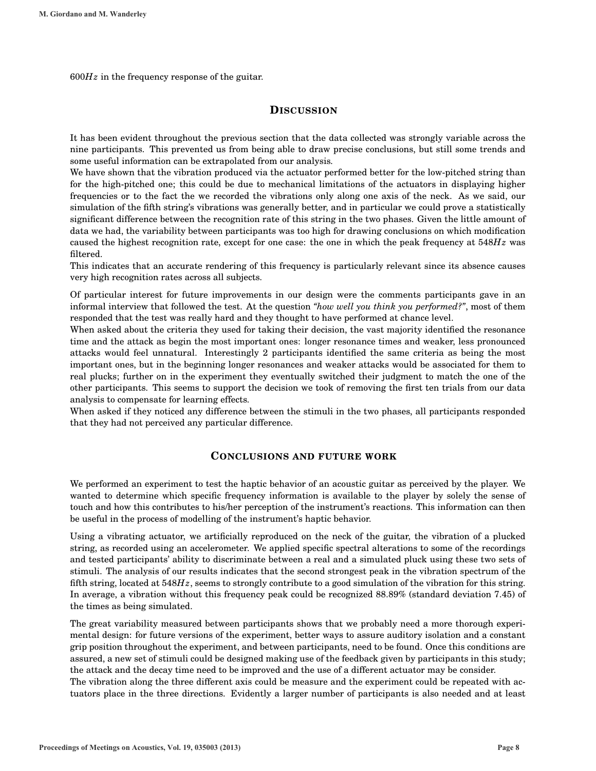600*Hz* in the frequency response of the guitar.

#### **DISCUSSION**

It has been evident throughout the previous section that the data collected was strongly variable across the nine participants. This prevented us from being able to draw precise conclusions, but still some trends and some useful information can be extrapolated from our analysis.

We have shown that the vibration produced via the actuator performed better for the low-pitched string than for the high-pitched one; this could be due to mechanical limitations of the actuators in displaying higher frequencies or to the fact the we recorded the vibrations only along one axis of the neck. As we said, our simulation of the fifth string's vibrations was generally better, and in particular we could prove a statistically significant difference between the recognition rate of this string in the two phases. Given the little amount of data we had, the variability between participants was too high for drawing conclusions on which modification caused the highest recognition rate, except for one case: the one in which the peak frequency at 548*Hz* was filtered.

This indicates that an accurate rendering of this frequency is particularly relevant since its absence causes very high recognition rates across all subjects.

Of particular interest for future improvements in our design were the comments participants gave in an informal interview that followed the test. At the question *"how well you think you performed?"*, most of them responded that the test was really hard and they thought to have performed at chance level.

When asked about the criteria they used for taking their decision, the vast majority identified the resonance time and the attack as begin the most important ones: longer resonance times and weaker, less pronounced attacks would feel unnatural. Interestingly 2 participants identified the same criteria as being the most important ones, but in the beginning longer resonances and weaker attacks would be associated for them to real plucks; further on in the experiment they eventually switched their judgment to match the one of the other participants. This seems to support the decision we took of removing the first ten trials from our data analysis to compensate for learning effects.

When asked if they noticed any difference between the stimuli in the two phases, all participants responded that they had not perceived any particular difference.

#### **CONCLUSIONS AND FUTURE WORK**

We performed an experiment to test the haptic behavior of an acoustic guitar as perceived by the player. We wanted to determine which specific frequency information is available to the player by solely the sense of touch and how this contributes to his/her perception of the instrument's reactions. This information can then be useful in the process of modelling of the instrument's haptic behavior.

Using a vibrating actuator, we artificially reproduced on the neck of the guitar, the vibration of a plucked string, as recorded using an accelerometer. We applied specific spectral alterations to some of the recordings and tested participants' ability to discriminate between a real and a simulated pluck using these two sets of stimuli. The analysis of our results indicates that the second strongest peak in the vibration spectrum of the fifth string, located at 548*Hz*, seems to strongly contribute to a good simulation of the vibration for this string. In average, a vibration without this frequency peak could be recognized 88.89% (standard deviation 7.45) of the times as being simulated.

The great variability measured between participants shows that we probably need a more thorough experimental design: for future versions of the experiment, better ways to assure auditory isolation and a constant grip position throughout the experiment, and between participants, need to be found. Once this conditions are assured, a new set of stimuli could be designed making use of the feedback given by participants in this study; the attack and the decay time need to be improved and the use of a different actuator may be consider. The vibration along the three different axis could be measure and the experiment could be repeated with actuators place in the three directions. Evidently a larger number of participants is also needed and at least